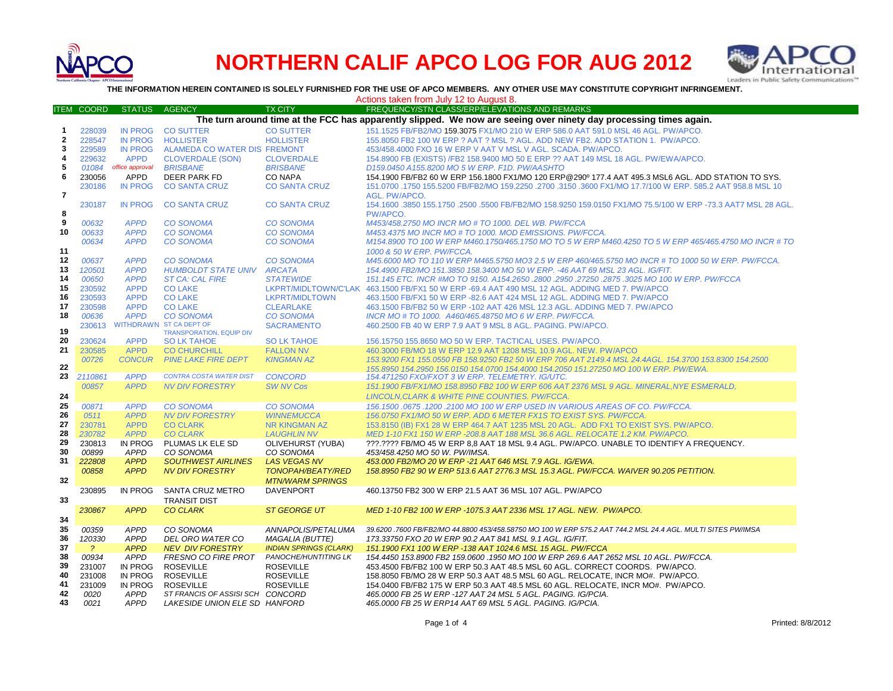

## **NORTHERN CALIF APCO LOG FOR AUG 2012**



**THE INFORMATION HEREIN CONTAINED IS SOLELY FURNISHED FOR THE USE OF APCO MEMBERS. ANY OTHER USE MAY CONSTITUTE COPYRIGHT INFRINGEMENT.**

Actions taken from July 12 to August 8.

|                | <b>ITEM COORD</b>                                                                                                 | <b>STATUS</b>   | <b>AGENCY</b>                    | <b>TX CITY</b>                | FREQUENCY/STN CLASS/ERP/ELEVATIONS AND REMARKS                                                               |  |  |
|----------------|-------------------------------------------------------------------------------------------------------------------|-----------------|----------------------------------|-------------------------------|--------------------------------------------------------------------------------------------------------------|--|--|
|                | The turn around time at the FCC has apparently slipped. We now are seeing over ninety day processing times again. |                 |                                  |                               |                                                                                                              |  |  |
| 1              | 228039                                                                                                            | <b>IN PROG</b>  | <b>CO SUTTER</b>                 | <b>CO SUTTER</b>              | 151.1525 FB/FB2/MO 159.3075 FX1/MO 210 W ERP 586.0 AAT 591.0 MSL 46 AGL. PW/APCO.                            |  |  |
| $\mathbf{2}$   | 228547                                                                                                            | <b>IN PROG</b>  | <b>HOLLISTER</b>                 | <b>HOLLISTER</b>              | 155.8050 FB2 100 W ERP ? AAT ? MSL ? AGL. ADD NEW FB2. ADD STATION 1. PW/APCO.                               |  |  |
| 3              | 229589                                                                                                            | <b>IN PROG</b>  | ALAMEDA CO WATER DIS FREMONT     |                               | 453/458,4000 FXO 16 W ERP V AAT V MSL V AGL, SCADA, PW/APCO,                                                 |  |  |
| 4              | 229632                                                                                                            | <b>APPD</b>     | <b>CLOVERDALE (SON)</b>          | <b>CLOVERDALE</b>             | 154.8900 FB (EXISTS) /FB2 158.9400 MO 50 E ERP ?? AAT 149 MSL 18 AGL. PW/EWA/APCO.                           |  |  |
| 5              |                                                                                                                   | office approval |                                  |                               |                                                                                                              |  |  |
|                | 01084                                                                                                             |                 | <b>BRISBANE</b>                  | <b>BRISBANE</b>               | D159.0450 A155.8200 MO 5 W ERP. F1D. PW/AASHTO                                                               |  |  |
| 6              | 230056                                                                                                            | APPD            | DEER PARK FD                     | <b>CO NAPA</b>                | 154.1900 FB/FB2 60 W ERP 156.1800 FX1/MO 120 ERP@290º 177.4 AAT 495.3 MSL6 AGL. ADD STATION TO SYS.          |  |  |
|                | 230186                                                                                                            | <b>IN PROG</b>  | <b>CO SANTA CRUZ</b>             | <b>CO SANTA CRUZ</b>          | 161.0700 1750 155.5200 FB/FB2/MO 159.2250 .2700 .3150 .3600 FX1/MO 17.7/100 W ERP. 585.2 AAT 958.8 MSL 10    |  |  |
| $\overline{7}$ |                                                                                                                   |                 |                                  |                               | AGL. PW/APCO.                                                                                                |  |  |
|                | 230187                                                                                                            | <b>IN PROG</b>  | <b>CO SANTA CRUZ</b>             | <b>CO SANTA CRUZ</b>          | 154.1600 .3850 155.1750 .2500 .5500 FB/FB2/MO 158.9250 159.0150 FX1/MO 75.5/100 W ERP -73.3 AAT7 MSL 28 AGL. |  |  |
| 8              |                                                                                                                   |                 |                                  |                               | PW/APCO.                                                                                                     |  |  |
| 9              | 00632                                                                                                             | <b>APPD</b>     | <b>CO SONOMA</b>                 | <b>CO SONOMA</b>              | M453/458.2750 MO INCR MO # TO 1000. DEL WB. PW/FCCA                                                          |  |  |
| 10             | 00633                                                                                                             | <b>APPD</b>     | <b>CO SONOMA</b>                 | <b>CO SONOMA</b>              | M453.4375 MO INCR MO # TO 1000. MOD EMISSIONS. PW/FCCA.                                                      |  |  |
|                | 00634                                                                                                             | <b>APPD</b>     | <b>CO SONOMA</b>                 | <b>CO SONOMA</b>              | M154.8900 TO 100 W ERP M460.1750/465.1750 MO TO 5 W ERP M460.4250 TO 5 W ERP 465/465.4750 MO INCR # TO       |  |  |
| 11             |                                                                                                                   |                 |                                  |                               | 1000 & 50 W ERP. PW/FCCA.                                                                                    |  |  |
| 12             | 00637                                                                                                             | <b>APPD</b>     | <b>CO SONOMA</b>                 | <b>CO SONOMA</b>              | M45.6000 MO TO 110 W ERP M465.5750 MO3 2.5 W ERP 460/465.5750 MO INCR # TO 1000 50 W ERP. PW/FCCA.           |  |  |
| 13             | 120501                                                                                                            | <b>APPD</b>     | <b>HUMBOLDT STATE UNIV</b>       | <b>ARCATA</b>                 | 154.4900 FB2/MO 151.3850 158.3400 MO 50 W ERP. -46 AAT 69 MSL 23 AGL. IG/FIT.                                |  |  |
| 14             | 00650                                                                                                             | <b>APPD</b>     | <b>ST CA: CAL FIRE</b>           | <b>STATEWIDE</b>              | 151.145 ETC. INCR #MO TO 9150. A154.2650 .2800 .2950 .27250 .2875 .3025 MO 100 W ERP. PW/FCCA                |  |  |
| 15             | 230592                                                                                                            | <b>APPD</b>     | <b>CO LAKE</b>                   |                               | LKPRT/MIDLTOWN/C'LAK 463.1500 FB/FX1 50 W ERP -69.4 AAT 490 MSL 12 AGL. ADDING MED 7. PW/APCO                |  |  |
| 16             | 230593                                                                                                            | <b>APPD</b>     | <b>CO LAKE</b>                   | LKPRT/MIDLTOWN                | 463.1500 FB/FX1 50 W ERP -82.6 AAT 424 MSL 12 AGL. ADDING MED 7. PW/APCO                                     |  |  |
| 17             | 230598                                                                                                            | <b>APPD</b>     | <b>CO LAKE</b>                   | <b>CLEARLAKE</b>              | 463.1500 FB/FB2 50 W ERP -102 AAT 426 MSL 12.3 AGL. ADDING MED 7. PW/APCO                                    |  |  |
| 18             | 00636                                                                                                             | <b>APPD</b>     | <b>CO SONOMA</b>                 | <b>CO SONOMA</b>              | INCR MO # TO 1000. A460/465.48750 MO 6 W ERP. PW/FCCA.                                                       |  |  |
|                | 230613                                                                                                            |                 | WITHDRAWN ST CA DEPT OF          | <b>SACRAMENTO</b>             | 460.2500 FB 40 W ERP 7.9 AAT 9 MSL 8 AGL. PAGING. PW/APCO.                                                   |  |  |
| 19             |                                                                                                                   |                 | <b>TRANSPORATION, EQUIP DIV</b>  |                               |                                                                                                              |  |  |
| 20             | 230624                                                                                                            | <b>APPD</b>     | <b>SO LK TAHOE</b>               | <b>SO LK TAHOE</b>            | 156.15750 155.8650 MO 50 W ERP. TACTICAL USES. PW/APCO.                                                      |  |  |
| 21             | 230585                                                                                                            | <b>APPD</b>     | <b>CO CHURCHILL</b>              | <b>FALLON NV</b>              | 460,3000 FB/MO 18 W ERP 12.9 AAT 1208 MSL 10.9 AGL, NEW, PW/APCO                                             |  |  |
|                | 00726                                                                                                             | <b>CONCUR</b>   | <b>PINE LAKE FIRE DEPT</b>       | <b>KINGMAN AZ</b>             | 153.9200 FX1 155.0550 FB 158.9250 FB2 50 W ERP 706 AAT 2149.4 MSL 24.4AGL. 154.3700 153.8300 154.2500        |  |  |
| 22             |                                                                                                                   |                 |                                  |                               | 155.8950 154.2950 156.0150 154.0700 154.4000 154.2050 151.27250 MO 100 W ERP. PW/EWA.                        |  |  |
| 23             | 2110861                                                                                                           | <b>APPD</b>     | <b>CONTRA COSTA WATER DIST</b>   | <b>CONCORD</b>                | 154.471250 FXO/FXOT 3 W ERP. TELEMETRY. IG/UTC.                                                              |  |  |
|                | 00857                                                                                                             | <b>APPD</b>     | <b>NV DIV FORESTRY</b>           | <b>SW NV Cos</b>              | 151.1900 FB/FX1/MO 158.8950 FB2 100 W ERP 606 AAT 2376 MSL 9 AGL. MINERAL, NYE ESMERALD,                     |  |  |
| 24             |                                                                                                                   |                 |                                  |                               | LINCOLN, CLARK & WHITE PINE COUNTIES. PW/FCCA.                                                               |  |  |
| 25             | 00871                                                                                                             | <b>APPD</b>     | <b>CO SONOMA</b>                 | <b>CO SONOMA</b>              | 156.1500.0675.1200.2100 MO 100 W ERP USED IN VARIOUS AREAS OF CO. PW/FCCA.                                   |  |  |
| 26             | 0511                                                                                                              | <b>APPD</b>     | <b>NV DIV FORESTRY</b>           | <b>WINNEMUCCA</b>             | 156.0750 FX1/MO 50 W ERP. ADD 6 METER FX1S TO EXIST SYS. PW/FCCA.                                            |  |  |
| 27             | 230781                                                                                                            | <b>APPD</b>     | <b>CO CLARK</b>                  | <b>NR KINGMAN AZ</b>          | 153.8150 (IB) FX1 28 W ERP 464.7 AAT 1235 MSL 20 AGL. ADD FX1 TO EXIST SYS. PW/APCO.                         |  |  |
| 28             | 230782                                                                                                            | <b>APPD</b>     | <b>CO CLARK</b>                  | <b>LAUGHLIN NV</b>            | MED 1-10 FX1 150 W ERP -208.8 AAT 188 MSL 36.6 AGL. RELOCATE 1.2 KM. PW/APCO.                                |  |  |
| 29             | 230813                                                                                                            | <b>IN PROG</b>  | PLUMAS LK ELE SD                 | OLIVEHURST (YUBA)             | ???.???? FB/MO 45 W ERP 8.8 AAT 18 MSL 9.4 AGL. PW/APCO. UNABLE TO IDENTIFY A FREQUENCY.                     |  |  |
| 30             | 00899                                                                                                             | <b>APPD</b>     | CO SONOMA                        | CO SONOMA                     | 453/458.4250 MO 50 W. PW/IMSA.                                                                               |  |  |
| 31             | 222808                                                                                                            | <b>APPD</b>     | <b>SOUTHWEST AIRLINES</b>        | <b>LAS VEGAS NV</b>           | 453.000 FB2/MO 20 W ERP -21 AAT 646 MSL 7.9 AGL. IG/EWA.                                                     |  |  |
|                | 00858                                                                                                             | <b>APPD</b>     | <b>NV DIV FORESTRY</b>           | <b>TONOPAH/BEATY/RED</b>      | 158.8950 FB2 90 W ERP 513.6 AAT 2776.3 MSL 15.3 AGL. PW/FCCA. WAIVER 90.205 PETITION.                        |  |  |
| 32             |                                                                                                                   |                 |                                  | <b>MTN/WARM SPRINGS</b>       |                                                                                                              |  |  |
|                | 230895                                                                                                            | <b>IN PROG</b>  | SANTA CRUZ METRO                 | <b>DAVENPORT</b>              | 460.13750 FB2 300 W ERP 21.5 AAT 36 MSL 107 AGL. PW/APCO                                                     |  |  |
| 33             |                                                                                                                   |                 | <b>TRANSIT DIST</b>              |                               |                                                                                                              |  |  |
|                | 230867                                                                                                            | <b>APPD</b>     | <b>CO CLARK</b>                  | <b>ST GEORGE UT</b>           | MED 1-10 FB2 100 W ERP -1075.3 AAT 2336 MSL 17 AGL. NEW. PW/APCO.                                            |  |  |
| 34             |                                                                                                                   |                 |                                  |                               |                                                                                                              |  |  |
| 35             | 00359                                                                                                             | <b>APPD</b>     | CO SONOMA                        | ANNAPOLIS/PETALUMA            | 39.6200 .7600 FB/FB2/MO 44.8800 453/458.58750 MO 100 W ERP 575.2 AAT 744.2 MSL 24.4 AGL. MULTI SITES PW/IMSA |  |  |
| 36             | 120330                                                                                                            | <b>APPD</b>     | DEL ORO WATER CO                 | <b>MAGALIA (BUTTE)</b>        | 173.33750 FXO 20 W ERP 90.2 AAT 841 MSL 9.1 AGL. IG/FIT.                                                     |  |  |
| 37             | $\overline{?}$                                                                                                    | <b>APPD</b>     | <b>NEV DIV FORESTRY</b>          | <b>INDIAN SPRINGS (CLARK)</b> | 151.1900 FX1 100 W ERP -138 AAT 1024.6 MSL 15 AGL. PW/FCCA                                                   |  |  |
| 38             | 00934                                                                                                             | <b>APPD</b>     | <b>FRESNO CO FIRE PROT</b>       | PANOCHE/HUNTITING LK          | 154.4450 153.8900 FB2 159.0600 .1950 MO 100 W ERP 269.6 AAT 2652 MSL 10 AGL. PW/FCCA.                        |  |  |
| 39             | 231007                                                                                                            | IN PROG         | <b>ROSEVILLE</b>                 | <b>ROSEVILLE</b>              | 453.4500 FB/FB2 100 W ERP 50.3 AAT 48.5 MSL 60 AGL. CORRECT COORDS. PW/APCO.                                 |  |  |
| 40             | 231008                                                                                                            | <b>IN PROG</b>  | <b>ROSEVILLE</b>                 | <b>ROSEVILLE</b>              | 158.8050 FB/MO 28 W ERP 50.3 AAT 48.5 MSL 60 AGL. RELOCATE, INCR MO#. PW/APCO.                               |  |  |
| 41             | 231009                                                                                                            |                 | <b>ROSEVILLE</b>                 | <b>ROSEVILLE</b>              |                                                                                                              |  |  |
| 42             |                                                                                                                   | IN PROG         |                                  |                               | 154.0400 FB/FB2 175 W ERP 50.3 AAT 48.5 MSL 60 AGL. RELOCATE, INCR MO#. PW/APCO.                             |  |  |
| 43             | 0020                                                                                                              | <b>APPD</b>     | ST FRANCIS OF ASSISI SCH CONCORD |                               | 465.0000 FB 25 W ERP - 127 AAT 24 MSL 5 AGL. PAGING. IG/PCIA.                                                |  |  |
|                | 0021                                                                                                              | <b>APPD</b>     | LAKESIDE UNION ELE SD HANFORD    |                               | 465.0000 FB 25 W ERP14 AAT 69 MSL 5 AGL. PAGING. IG/PCIA.                                                    |  |  |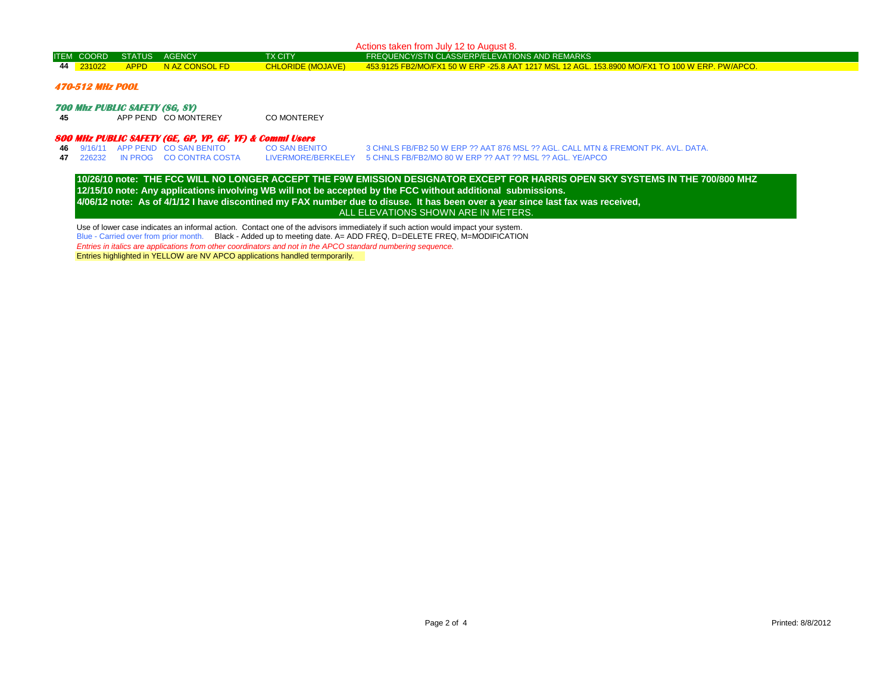| Actions taken from July 12 to August 8.                                           |                   |               |                |                          |                                                                                                |  |  |
|-----------------------------------------------------------------------------------|-------------------|---------------|----------------|--------------------------|------------------------------------------------------------------------------------------------|--|--|
|                                                                                   | <b>ITEM COORD</b> | <b>STATUS</b> | AGENCY         | <b>TX CITY</b>           | FREQUENCY/STN CLASS/ERP/ELEVATIONS AND REMARKS                                                 |  |  |
|                                                                                   | 44 231022         | <b>APPD</b>   | N AZ CONSOL FD | <b>CHLORIDE (MOJAVE)</b> | 453.9125 FB2/MO/FX1 50 W ERP -25.8 AAT 1217 MSL 12 AGL. 153.8900 MO/FX1 TO 100 W ERP. PW/APCO. |  |  |
| 470-512 MHz POOL                                                                  |                   |               |                |                          |                                                                                                |  |  |
| <b>700 Mhz PUBLIC SAFETY (SG, SY)</b><br>APP PEND COMONTEREY<br>CO MONTEREY<br>45 |                   |               |                |                          |                                                                                                |  |  |
| 800 MHz PUBLIC SAFETY (GE, GP, YP, GF, YF) & Commi Users                          |                   |               |                |                          |                                                                                                |  |  |

|  | 46 9/16/11 APP PEND CO SAN BENITO | CO SAN BENITO | 3 CHNLS FB/FB2 50 W ERP ?? AAT 876 MSL ?? AGL. CALL MTN & FREMONT PK. AVL. DATA. |
|--|-----------------------------------|---------------|----------------------------------------------------------------------------------|
|  | 47 226232 IN PROG CO CONTRA COSTA |               | LIVERMORE/BERKELEY 5 CHNLS FB/FB2/MO 80 W ERP ?? AAT ?? MSL ?? AGL. YE/APCO      |

**12/15/10 note: Any applications involving WB will not be accepted by the FCC without additional submissions. 4/06/12 note: As of 4/1/12 I have discontined my FAX number due to disuse. It has been over a year since last fax was received, 10/26/10 note: THE FCC WILL NO LONGER ACCEPT THE F9W EMISSION DESIGNATOR EXCEPT FOR HARRIS OPEN SKY SYSTEMS IN THE 700/800 MHZ**  ALL ELEVATIONS SHOWN ARE IN METERS.

Use of lower case indicates an informal action. Contact one of the advisors immediately if such action would impact your system. Blue - Carried over from prior month. Black - Added up to meeting date. A= ADD FREQ, D=DELETE FREQ, M=MODIFICATION *Entries in italics are applications from other coordinators and not in the APCO standard numbering sequence.* Entries highlighted in YELLOW are NV APCO applications handled termporarily.